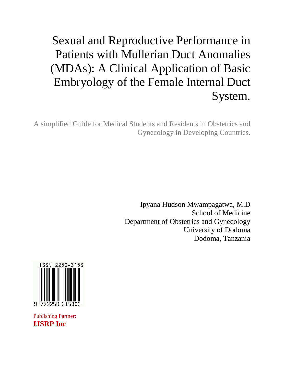# Sexual and Reproductive Performance in Patients with Mullerian Duct Anomalies (MDAs): A Clinical Application of Basic Embryology of the Female Internal Duct System.

A simplified Guide for Medical Students and Residents in Obstetrics and Gynecology in Developing Countries.

> Ipyana Hudson Mwampagatwa, M.D School of Medicine Department of Obstetrics and Gynecology University of Dodoma Dodoma, Tanzania



Publishing Partner: **IJSRP Inc**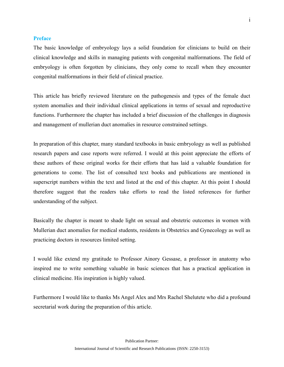### <span id="page-1-0"></span>**Preface**

The basic knowledge of embryology lays a solid foundation for clinicians to build on their clinical knowledge and skills in managing patients with congenital malformations. The field of embryology is often forgotten by clinicians, they only come to recall when they encounter congenital malformations in their field of clinical practice.

This article has briefly reviewed literature on the pathogenesis and types of the female duct system anomalies and their individual clinical applications in terms of sexual and reproductive functions. Furthermore the chapter has included a brief discussion of the challenges in diagnosis and management of mullerian duct anomalies in resource constrained settings.

In preparation of this chapter, many standard textbooks in basic embryology as well as published research papers and case reports were referred. I would at this point appreciate the efforts of these authors of these original works for their efforts that has laid a valuable foundation for generations to come. The list of consulted text books and publications are mentioned in superscript numbers within the text and listed at the end of this chapter. At this point I should therefore suggest that the readers take efforts to read the listed references for further understanding of the subject.

Basically the chapter is meant to shade light on sexual and obstetric outcomes in women with Mullerian duct anomalies for medical students, residents in Obstetrics and Gynecology as well as practicing doctors in resources limited setting.

I would like extend my gratitude to Professor Ainory Gessase, a professor in anatomy who inspired me to write something valuable in basic sciences that has a practical application in clinical medicine. His inspiration is highly valued.

<span id="page-1-1"></span>Furthermore I would like to thanks Ms Angel Alex and Mrs Rachel Shelutete who did a profound secretarial work during the preparation of this article.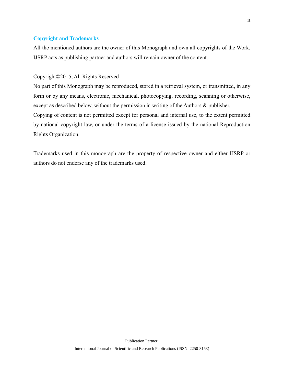# **Copyright and Trademarks**

All the mentioned authors are the owner of this Monograph and own all copyrights of the Work. IJSRP acts as publishing partner and authors will remain owner of the content.

# Copyright©2015, All Rights Reserved

No part of this Monograph may be reproduced, stored in a retrieval system, or transmitted, in any form or by any means, electronic, mechanical, photocopying, recording, scanning or otherwise, except as described below, without the permission in writing of the Authors & publisher. Copying of content is not permitted except for personal and internal use, to the extent permitted by national copyright law, or under the terms of a license issued by the national Reproduction Rights Organization.

<span id="page-2-0"></span>Trademarks used in this monograph are the property of respective owner and either IJSRP or authors do not endorse any of the trademarks used.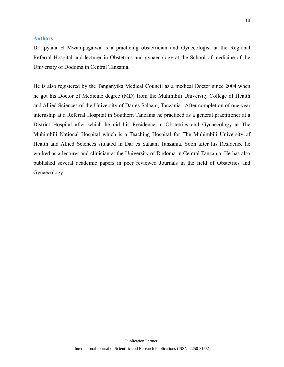# **Authors**

Dr Ipyana H Mwampagatwa is a practicing obstetrician and Gynecologist at the Regional Referral Hospital and lecturer in Obstetrics and gynaecology at the School of medicine of the University of Dodoma in Central Tanzania.

<span id="page-3-0"></span>He is also registered by the Tanganyika Medical Council as a medical Doctor since 2004 when he got his Doctor of Medicine degree (MD) from the Muhimbili University College of Health and Allied Sciences of the University of Dar es Salaam, Tanzania. After completion of one year internship at a Referral Hospital in Southern Tanzania he practiced as a general practitioner at a District Hospital after which he did his Residence in Obstetrics and Gynaecology at The Muhimbili National Hospital which is a Teaching Hospital for The Muhimbili University of Health and Allied Sciences situated in Dar es Salaam Tanzania. Soon after his Residence he worked as a lecturer and clinician at the University of Dodoma in Central Tanzania. He has also published several academic papers in peer reviewed Journals in the field of Obstetrics and Gynaecology.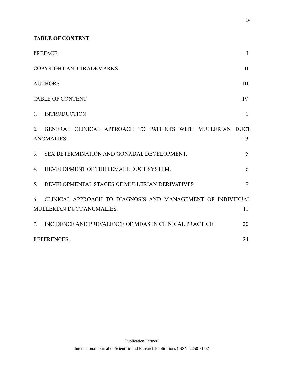**TABLE OF CONTENT** 

|                                          | <b>PREFACE</b>                                                                           | I   |
|------------------------------------------|------------------------------------------------------------------------------------------|-----|
| COPYRIGHT AND TRADEMARKS<br>$\mathbf{I}$ |                                                                                          |     |
| <b>AUTHORS</b>                           |                                                                                          | III |
| IV<br><b>TABLE OF CONTENT</b>            |                                                                                          |     |
| $1_{-}$                                  | <b>INTRODUCTION</b>                                                                      | 1   |
| 2.                                       | GENERAL CLINICAL APPROACH TO PATIENTS WITH MULLERIAN DUCT<br><b>ANOMALIES.</b>           | 3   |
| 3 <sub>1</sub>                           | SEX DETERMINATION AND GONADAL DEVELOPMENT.                                               | 5   |
| $4_{\cdot}$                              | DEVELOPMENT OF THE FEMALE DUCT SYSTEM.                                                   | 6   |
| $5_{-}$                                  | DEVELOPMENTAL STAGES OF MULLERIAN DERIVATIVES                                            | 9   |
| 6                                        | CLINICAL APPROACH TO DIAGNOSIS AND MANAGEMENT OF INDIVIDUAL<br>MULLERIAN DUCT ANOMALIES. | 11  |
| $7_{\cdot}$                              | INCIDENCE AND PREVALENCE OF MDAS IN CLINICAL PRACTICE                                    | 20  |
| <b>REFERENCES.</b><br>24                 |                                                                                          |     |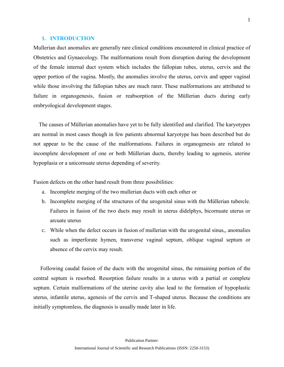# <span id="page-5-0"></span>**1. INTRODUCTION**

Mullerian duct anomalies are generally rare clinical conditions encountered in clinical practice of Obstetrics and Gynaecology. The malformations result from disruption during the development of the female internal duct system which includes the fallopian tubes, uterus, cervix and the upper portion of the vagina. Mostly, the anomalies involve the uterus, cervix and upper vaginal while those involving the fallopian tubes are much rarer. These malformations are attributed to failure in organogenesis, fusion or reabsorption of the Müllerian ducts during early embryological development stages.

 The causes of Müllerian anomalies have yet to be fully identified and clarified. The karyotypes are normal in most cases though in few patients abnormal karyotype has been described but do not appear to be the cause of the malformations. Failures in organogenesis are related to incomplete development of one or both Müllerian ducts, thereby leading to agenesis, uterine hypoplasia or a unicornuate uterus depending of severity.

Fusion defects on the other hand result from three possibilities:

- a. Incomplete merging of the two mullerian ducts with each other or
- b. Incomplete merging of the structures of the urogenital sinus with the Müllerian tubercle. Failures in fusion of the two ducts may result in uterus didelphys, bicornuate uterus or arcuate uterus
- c. While when the defect occurs in fusion of mullerian with the urogenital sinus,, anomalies such as imperforate hymen, transverse vaginal septum, oblique vaginal septum or absence of the cervix may result.

 Following caudal fusion of the ducts with the urogenital sinus, the remaining portion of the central septum is resorbed. Resorption failure results in a uterus with a partial or complete septum. Certain malformations of the uterine cavity also lead to the formation of hypoplastic uterus, infantile uterus, agenesis of the cervix and T-shaped uterus. Because the conditions are initially symptomless, the diagnosis is usually made later in life.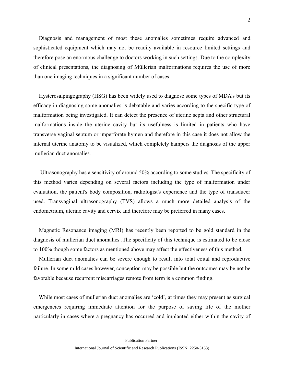Diagnosis and management of most these anomalies sometimes require advanced and sophisticated equipment which may not be readily available in resource limited settings and therefore pose an enormous challenge to doctors working in such settings. Due to the complexity of clinical presentations, the diagnosing of Müllerian malformations requires the use of more than one imaging techniques in a significant number of cases.

 Hysterosalpingography (HSG) has been widely used to diagnose some types of MDA's but its efficacy in diagnosing some anomalies is debatable and varies according to the specific type of malformation being investigated. It can detect the presence of uterine septa and other structural malformations inside the uterine cavity but its usefulness is limited in patients who have transverse vaginal septum or imperforate hymen and therefore in this case it does not allow the internal uterine anatomy to be visualized, which completely hampers the diagnosis of the upper mullerian duct anomalies.

 Ultrasonography has a sensitivity of around 50% according to some studies. The specificity of this method varies depending on several factors including the type of malformation under evaluation, the patient's body composition, radiologist's experience and the type of transducer used. Transvaginal ultrasonography (TVS) allows a much more detailed analysis of the endometrium, uterine cavity and cervix and therefore may be preferred in many cases.

 Magnetic Resonance imaging (MRI) has recently been reported to be gold standard in the diagnosis of mullerian duct anomalies .The specificity of this technique is estimated to be close to 100% though some factors as mentioned above may affect the effectiveness of this method.

 Mullerian duct anomalies can be severe enough to result into total coital and reproductive failure. In some mild cases however, conception may be possible but the outcomes may be not be favorable because recurrent miscarriages remote from term is a common finding.

While most cases of mullerian duct anomalies are 'cold', at times they may present as surgical emergencies requiring immediate attention for the purpose of saving life of the mother particularly in cases where a pregnancy has occurred and implanted either within the cavity of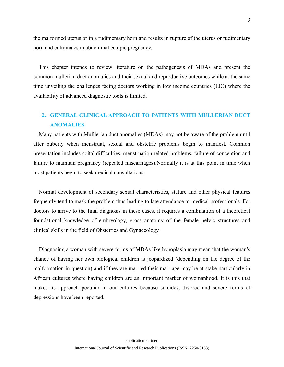the malformed uterus or in a rudimentary horn and results in rupture of the uterus or rudimentary horn and culminates in abdominal ectopic pregnancy.

 This chapter intends to review literature on the pathogenesis of MDAs and present the common mullerian duct anomalies and their sexual and reproductive outcomes while at the same time unveiling the challenges facing doctors working in low income countries (LIC) where the availability of advanced diagnostic tools is limited.

# <span id="page-7-0"></span>**2. GENERAL CLINICAL APPROACH TO PATIENTS WITH MULLERIAN DUCT ANOMALIES.**

 Many patients with Mulllerian duct anomalies (MDAs) may not be aware of the problem until after puberty when menstrual, sexual and obstetric problems begin to manifest. Common presentation includes coital difficulties, menstruation related problems, failure of conception and failure to maintain pregnancy (repeated miscarriages).Normally it is at this point in time when most patients begin to seek medical consultations.

 Normal development of secondary sexual characteristics, stature and other physical features frequently tend to mask the problem thus leading to late attendance to medical professionals. For doctors to arrive to the final diagnosis in these cases, it requires a combination of a theoretical foundational knowledge of embryology, gross anatomy of the female pelvic structures and clinical skills in the field of Obstetrics and Gynaecology.

 Diagnosing a woman with severe forms of MDAs like hypoplasia may mean that the woman's chance of having her own biological children is jeopardized (depending on the degree of the malformation in question) and if they are married their marriage may be at stake particularly in African cultures where having children are an important marker of womanhood. It is this that makes its approach peculiar in our cultures because suicides, divorce and severe forms of depressions have been reported.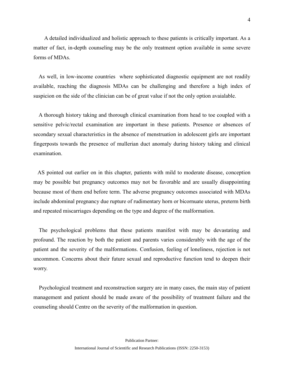A detailed individualized and holistic approach to these patients is critically important. As a matter of fact, in-depth counseling may be the only treatment option available in some severe forms of MDAs.

 As well, in low-income countries where sophisticated diagnostic equipment are not readily available, reaching the diagnosis MDAs can be challenging and therefore a high index of suspicion on the side of the clinician can be of great value if not the only option avaialable.

 A thorough history taking and thorough clinical examination from head to toe coupled with a sensitive pelvic/rectal examination are important in these patients. Presence or absences of secondary sexual characteristics in the absence of menstruation in adolescent girls are important fingerposts towards the presence of mullerian duct anomaly during history taking and clinical examination.

 AS pointed out earlier on in this chapter, patients with mild to moderate disease, conception may be possible but pregnancy outcomes may not be favorable and are usually disappointing because most of them end before term. The adverse pregnancy outcomes associated with MDAs include abdominal pregnancy due rupture of rudimentary horn or bicornuate uterus, preterm birth and repeated miscarriages depending on the type and degree of the malformation.

 The psychological problems that these patients manifest with may be devastating and profound. The reaction by both the patient and parents varies considerably with the age of the patient and the severity of the malformations. Confusion, feeling of loneliness, rejection is not uncommon. Concerns about their future sexual and reproductive function tend to deepen their worry.

 Psychological treatment and reconstruction surgery are in many cases, the main stay of patient management and patient should be made aware of the possibility of treatment failure and the counseling should Centre on the severity of the malformation in question.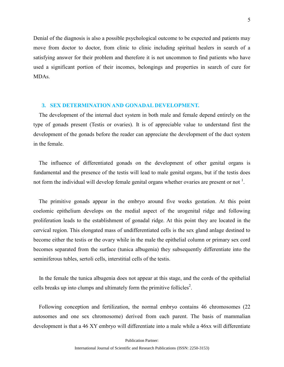Denial of the diagnosis is also a possible psychological outcome to be expected and patients may move from doctor to doctor, from clinic to clinic including spiritual healers in search of a satisfying answer for their problem and therefore it is not uncommon to find patients who have used a significant portion of their incomes, belongings and properties in search of cure for MDAs.

#### <span id="page-9-0"></span>**3. SEX DETERMINATION AND GONADAL DEVELOPMENT.**

 The development of the internal duct system in both male and female depend entirely on the type of gonads present (Testis or ovaries). It is of appreciable value to understand first the development of the gonads before the reader can appreciate the development of the duct system in the female.

 The influence of differentiated gonads on the development of other genital organs is fundamental and the presence of the testis will lead to male genital organs, but if the testis does not form the individual will develop female genital organs whether ovaries are present or not  $\frac{1}{1}$ .

 The primitive gonads appear in the embryo around five weeks gestation. At this point coelomic epithelium develops on the medial aspect of the urogenital ridge and following proliferation leads to the establishment of gonadal ridge. At this point they are located in the cervical region. This elongated mass of undifferentiated cells is the sex gland anlage destined to become either the testis or the ovary while in the male the epithelial column or primary sex cord becomes separated from the surface (tunica albugenia) they subsequently differentiate into the seminiferous tubles, sertoli cells, interstitial cells of the testis.

 In the female the tunica albugenia does not appear at this stage, and the cords of the epithelial cells breaks up into clumps and ultimately form the primitive follicles<sup>2</sup>.

 Following conception and fertilization, the normal embryo contains 46 chromosomes (22 autosomes and one sex chromosome) derived from each parent. The basis of mammalian development is that a 46 XY embryo will differentiate into a male while a 46xx will differentiate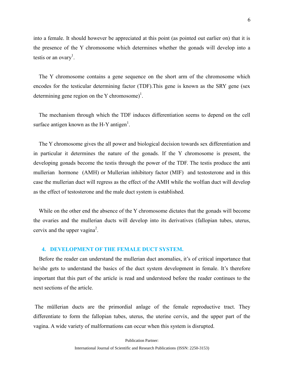into a female. It should however be appreciated at this point (as pointed out earlier on) that it is the presence of the Y chromosome which determines whether the gonads will develop into a testis or an ovary<sup>1</sup>.

 The Y chromosome contains a gene sequence on the short arm of the chromosome which encodes for the testicular determining factor (TDF).This gene is known as the SRY gene (sex determining gene region on the Y chromosome)<sup>1</sup>.

 The mechanism through which the TDF induces differentiation seems to depend on the cell surface antigen known as the H-Y antigen<sup>1</sup>.

 The Y chromosome gives the all power and biological decision towards sex differentiation and in particular it determines the nature of the gonads. If the Y chromosome is present, the developing gonads become the testis through the power of the TDF. The testis produce the anti mullerian hormone (AMH) or Mullerian inhibitory factor (MIF) and testosterone and in this case the mullerian duct will regress as the effect of the AMH while the wolfian duct will develop as the effect of testosterone and the male duct system is established.

 While on the other end the absence of the Y chromosome dictates that the gonads will become the ovaries and the mullerian ducts will develop into its derivatives (fallopian tubes, uterus, cervix and the upper vagina<sup>2</sup>.

#### <span id="page-10-0"></span>**4. DEVELOPMENT OF THE FEMALE DUCT SYSTEM.**

 Before the reader can understand the mullerian duct anomalies, it's of critical importance that he/she gets to understand the basics of the duct system development in female. It's therefore important that this part of the article is read and understood before the reader continues to the next sections of the article.

The müllerian ducts are the primordial anlage of the female reproductive tract. They differentiate to form the fallopian tubes, uterus, the uterine cervix, and the upper part of the vagina. A wide variety of malformations can occur when this system is disrupted.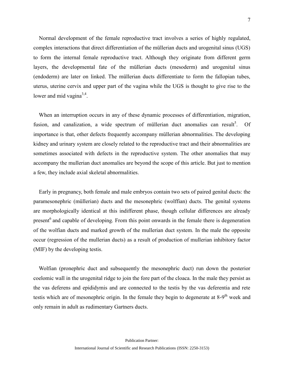Normal development of the female reproductive tract involves a series of highly regulated, complex interactions that direct differentiation of the müllerian ducts and urogenital sinus (UGS) to form the internal female reproductive tract. Although they originate from different germ layers, the developmental fate of the müllerian ducts (mesoderm) and urogenital sinus (endoderm) are later on linked. The müllerian ducts differentiate to form the fallopian tubes, uterus, uterine cervix and upper part of the vagina while the UGS is thought to give rise to the lower and mid vagina $3,4$ .

 When an interruption occurs in any of these dynamic processes of differentiation, migration, fusion, and canalization, a wide spectrum of müllerian duct anomalies can result<sup>5</sup>. Of importance is that, other defects frequently accompany müllerian abnormalities. The developing kidney and urinary system are closely related to the reproductive tract and their abnormalities are sometimes associated with defects in the reproductive system. The other anomalies that may accompany the mullerian duct anomalies are beyond the scope of this article. But just to mention a few, they include axial skeletal abnormalities.

 Early in pregnancy, both female and male embryos contain two sets of paired genital ducts: the paramesonephric (müllerian) ducts and the mesonephric (wolffian) ducts. The genital systems are morphologically identical at this indifferent phase, though cellular differences are already present<sup>6</sup> and capable of developing. From this point onwards in the female there is degeneration of the wolfian ducts and marked growth of the mullerian duct system. In the male the opposite occur (regression of the mullerian ducts) as a result of production of mullerian inhibitory factor (MIF) by the developing testis.

 Wolfian (pronephric duct and subsequently the mesonephric duct) run down the posterior coelomic wall in the urogenital ridge to join the fore part of the cloaca. In the male they persist as the vas deferens and epididymis and are connected to the testis by the vas deferentia and rete testis which are of mesonephric origin. In the female they begin to degenerate at  $8-9<sup>th</sup>$  week and only remain in adult as rudimentary Gartners ducts.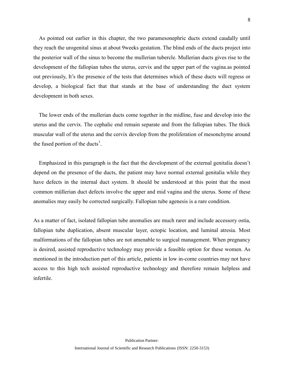As pointed out earlier in this chapter, the two paramesonephric ducts extend caudally until they reach the urogenital sinus at about 9weeks gestation. The blind ends of the ducts project into the posterior wall of the sinus to become the mullerian tubercle. Mullerian ducts gives rise to the development of the fallopian tubes the uterus, cervix and the upper part of the vagina.as pointed out previously, It's the presence of the tests that determines which of these ducts will regress or develop, a biological fact that that stands at the base of understanding the duct system development in both sexes.

 The lower ends of the mullerian ducts come together in the midline, fuse and develop into the uterus and the cervix. The cephalic end remain separate and from the fallopian tubes. The thick muscular wall of the uterus and the cervix develop from the proliferation of mesonchyme around the fused portion of the ducts<sup>1</sup>.

 Emphasized in this paragraph is the fact that the development of the external genitalia doesn't depend on the presence of the ducts, the patient may have normal external genitalia while they have defects in the internal duct system. It should be understood at this point that the most common müllerian duct defects involve the upper and mid vagina and the uterus. Some of these anomalies may easily be corrected surgically. Fallopian tube agenesis is a rare condition.

As a matter of fact, isolated fallopian tube anomalies are much rarer and include accessory ostia, fallopian tube duplication, absent muscular layer, ectopic location, and luminal atresia. Most malformations of the fallopian tubes are not amenable to surgical management. When pregnancy is desired, assisted reproductive technology may provide a feasible option for these women. As mentioned in the introduction part of this article, patients in low in-come countries may not have access to this high tech assisted reproductive technology and therefore remain helpless and infertile.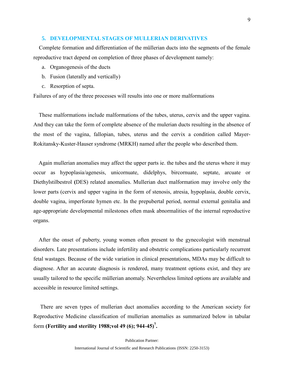# <span id="page-13-0"></span>**5. DEVELOPMENTAL STAGES OF MULLERIAN DERIVATIVES**

 Complete formation and differentiation of the müllerian ducts into the segments of the female reproductive tract depend on completion of three phases of development namely:

- a. Organogenesis of the ducts
- b. Fusion (laterally and vertically)
- c. Resorption of septa.

Failures of any of the three processes will results into one or more malformations

 These malformations include malformations of the tubes, uterus, cervix and the upper vagina. And they can take the form of complete absence of the mulerian ducts resulting in the absence of the most of the vagina, fallopian, tubes, uterus and the cervix a condition called Mayer-Rokitansky-Kuster-Hauser syndrome (MRKH) named after the people who described them.

 Again mullerian anomalies may affect the upper parts ie. the tubes and the uterus where it may occur as hypoplasia/agenesis, unicornuate, didelphys, bircornuate, septate, arcuate or Diethylstilbestrol **(**DES) related anomalies. Mullerian duct malformation may involve only the lower parts (cervix and upper vagina in the form of stenosis, atresia, hypoplasia, double cervix, double vagina, imperforate hymen etc. In the prepubertal period, normal external genitalia and age-appropriate developmental milestones often mask abnormalities of the internal reproductive organs.

 After the onset of puberty, young women often present to the gynecologist with menstrual disorders. Late presentations include infertility and obstetric complications particularly recurrent fetal wastages. Because of the wide variation in clinical presentations, MDAs may be difficult to diagnose. After an accurate diagnosis is rendered, many treatment options exist, and they are usually tailored to the specific müllerian anomaly. Nevertheless limited options are available and accessible in resource limited settings.

 There are seven types of mullerian duct anomalies according to the American society for Reproductive Medicine classification of mullerian anomalies as summarized below in tabular form **(Fertility and sterility 1988;vol 49 (6); 944-45)<sup>7</sup> .**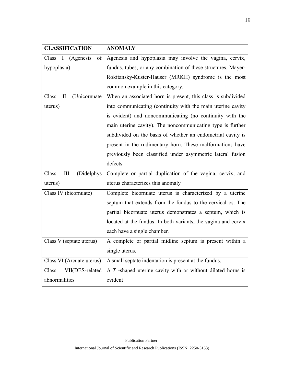<span id="page-14-0"></span>

| <b>CLASSIFICATION</b>                | <b>ANOMALY</b>                                                 |  |
|--------------------------------------|----------------------------------------------------------------|--|
| Class<br>I<br>(Agenesis<br>of        | Agenesis and hypoplasia may involve the vagina, cervix,        |  |
| hypoplasia)                          | fundus, tubes, or any combination of these structures. Mayer-  |  |
|                                      | Rokitansky-Kuster-Hauser (MRKH) syndrome is the most           |  |
|                                      | common example in this category.                               |  |
| $\mathbf I$<br>(Unicornuate<br>Class | When an associated horn is present, this class is subdivided   |  |
| uterus)                              | into communicating (continuity with the main uterine cavity    |  |
|                                      | is evident) and noncommunicating (no continuity with the       |  |
|                                      | main uterine cavity). The noncommunicating type is further     |  |
|                                      | subdivided on the basis of whether an endometrial cavity is    |  |
|                                      | present in the rudimentary horn. These malformations have      |  |
|                                      | previously been classified under asymmetric lateral fusion     |  |
|                                      | defects                                                        |  |
| (Didelphys<br>Class<br>$\rm III$     | Complete or partial duplication of the vagina, cervix, and     |  |
| uterus)                              | uterus characterizes this anomaly                              |  |
| Class IV (bicornuate)                | Complete bicornuate uterus is characterized by a uterine       |  |
|                                      | septum that extends from the fundus to the cervical os. The    |  |
|                                      | partial bicornuate uterus demonstrates a septum, which is      |  |
|                                      | located at the fundus. In both variants, the vagina and cervix |  |
|                                      | each have a single chamber.                                    |  |
| Class V (septate uterus)             | A complete or partial midline septum is present within a       |  |
|                                      | single uterus.                                                 |  |
| Class VI (Arcuate uterus)            | A small septate indentation is present at the fundus.          |  |
| VII(DES-related<br>Class             | A $T$ -shaped uterine cavity with or without dilated horns is  |  |
| abnormalities                        | evident                                                        |  |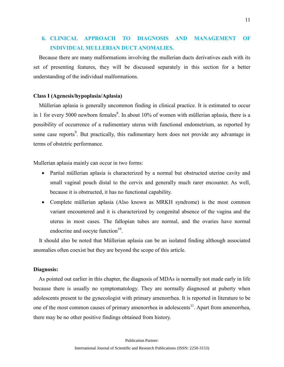# **6. CLINICAL APPROACH TO DIAGNOSIS AND MANAGEMENT OF INDIVIDUAL MULLERIAN DUCT ANOMALIES.**

 Because there are many malformations involving the mullerian ducts derivatives each with its set of presenting features, they will be discussed separately in this section for a better understanding of the individual malformations.

# **Class I (Agenesis/hypoplasia/Aplasia)**

 Müllerian aplasia is generally uncommon finding in clinical practice. It is estimated to occur in 1 for every 5000 newborn females<sup>8</sup>. In about 10% of women with müllerian aplasia, there is a possibility of occurrence of a rudimentary uterus with functional endometrium, as reported by some case reports<sup>9</sup>. But practically, this rudimentary horn does not provide any advantage in terms of obstetric performance.

Mullerian aplasia mainly can occur in two forms:

- Partial müllerian aplasia is characterized by a normal but obstructed uterine cavity and small vaginal pouch distal to the cervix and generally much rarer encounter. As well, because it is obstructed, it has no functional capability.
- Complete müllerian aplasia (Also known as MRKH syndrome) is the most common variant encountered and it is characterized by congenital absence of the vagina and the uterus in most cases. The fallopian tubes are normal, and the ovaries have normal endocrine and oocyte function $10$ .

 It should also be noted that Müllerian aplasia can be an isolated finding although associated anomalies often coexist but they are beyond the scope of this article.

#### **Diagnosis:**

 As pointed out earlier in this chapter, the diagnosis of MDAs is normally not made early in life because there is usually no symptomatology. They are normally diagnosed at puberty when adolescents present to the gynecologist with [primary amenorrhea.](http://emedicine.medscape.com/article/252928-overview) It is reported in literature to be one of the most common causes of primary amenorrhea in adolescents<sup>11</sup>. Apart from amenorrhea, there may be no other positive findings obtained from history.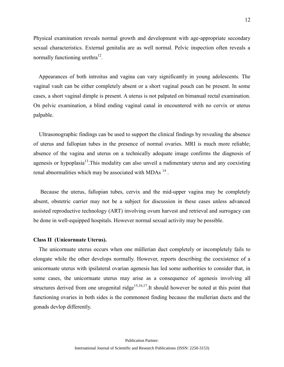Physical examination reveals normal growth and development with age-appropriate secondary sexual characteristics. External genitalia are as well normal. Pelvic inspection often reveals a normally functioning urethra $^{12}$ .

 Appearances of both introitus and vagina can vary significantly in young adolescents. The vaginal vault can be either completely absent or a short vaginal pouch can be present. In some cases, a short vaginal dimple is present. A uterus is not palpated on bimanual rectal examination. On pelvic examination, a blind ending vaginal canal in encountered with no cervix or uterus palpable.

 Ultrasonographic findings can be used to support the clinical findings by revealing the absence of uterus and fallopian tubes in the presence of normal ovaries. MRI is much more reliable; absence of the vagina and uterus on a technically adequate image confirms the diagnosis of agenesis or hypoplasia $13$ . This modality can also unveil a rudimentary uterus and any coexisting renal abnormalities which may be associated with MDAs  $^{14}$ .

 Because the uterus, fallopian tubes, cervix and the mid-upper vagina may be completely absent, obstetric carrier may not be a subject for discussion in these cases unless advanced assisted reproductive technology (ART) involving ovum harvest and retrieval and surrogacy can be done in well-equipped hospitals. However normal sexual activity may be possible.

#### **Class II (Unicornuate Uterus).**

 The unicornuate uterus occurs when one müllerian duct completely or incompletely fails to elongate while the other develops normally. However, reports describing the coexistence of a unicornuate uterus with ipsilateral ovarian agenesis has led some authorities to consider that, in some cases, the unicornuate uterus may arise as a consequence of agenesis involving all structures derived from one urogenital ridge<sup>15,16,17</sup>. It should however be noted at this point that functioning ovaries in both sides is the commonest finding because the mullerian ducts and the gonads devlop differently.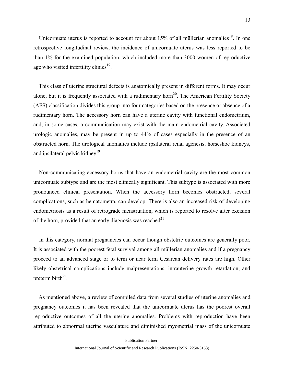Unicornuate uterus is reported to account for about  $15\%$  of all müllerian anomalies<sup>18</sup>. In one retrospective longitudinal review, the incidence of unicornuate uterus was less reported to be than 1% for the examined population, which included more than 3000 women of reproductive age who visited infertility clinics<sup>19</sup>.

 This class of uterine structural defects is anatomically present in different forms. It may occur alone, but it is frequently associated with a rudimentary horn<sup>20</sup>. The American Fertility Society (AFS) classification divides this group into four categories based on the presence or absence of a rudimentary horn. The accessory horn can have a uterine cavity with functional endometrium, and, in some cases, a communication may exist with the main endometrial cavity. Associated urologic anomalies, may be present in up to 44% of cases especially in the presence of an obstructed horn. The urological anomalies include ipsilateral renal agenesis, horseshoe kidneys, and ipsilateral pelvic kidney<sup>19</sup>.

 Non-communicating accessory horns that have an endometrial cavity are the most common unicornuate subtype and are the most clinically significant. This subtype is associated with more pronounced clinical presentation. When the accessory horn becomes obstructed, several complications, such as hematometra, can develop. There is also an increased risk of developing endometriosis as a result of retrograde menstruation, which is reported to resolve after excision of the horn, provided that an early diagnosis was reached $^{21}$ .

 In this category, normal pregnancies can occur though obstetric outcomes are generally poor. It is associated with the poorest fetal survival among all müllerian anomalies and if a pregnancy proceed to an advanced stage or to term or near term Cesarean delivery rates are high. Other likely obstetrical complications include malpresentations, intrauterine growth retardation, and preterm birth<sup>22</sup>.

 As mentioned above, a review of compiled data from several studies of uterine anomalies and pregnancy outcomes it has been revealed that the unicornuate uterus has the poorest overall reproductive outcomes of all the uterine anomalies. Problems with reproduction have been attributed to abnormal uterine vasculature and diminished myometrial mass of the unicornuate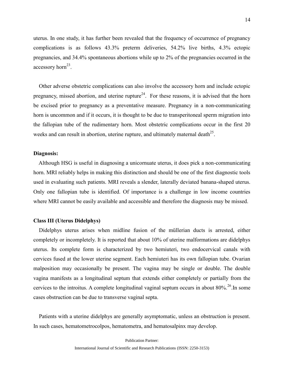uterus. In one study, it has further been revealed that the frequency of occurrence of pregnancy complications is as follows 43.3% preterm deliveries, 54.2% live births, 4.3% ectopic pregnancies, and 34.4% spontaneous abortions while up to 2% of the pregnancies occurred in the accessory horn<sup>23</sup>.

 Other adverse obstetric complications can also involve the accessory horn and include ectopic pregnancy, missed abortion, and uterine rupture<sup>24</sup>. For these reasons, it is advised that the horn be excised prior to pregnancy as a preventative measure. Pregnancy in a non-communicating horn is uncommon and if it occurs, it is thought to be due to transperitoneal sperm migration into the fallopian tube of the rudimentary horn. Most obstetric complications occur in the first 20 weeks and can result in abortion, uterine rupture, and ultimately maternal death $^{25}$ .

# **Diagnosis:**

 Although HSG is useful in diagnosing a unicornuate uterus, it does pick a non-communicating horn. MRI reliably helps in making this distinction and should be one of the first diagnostic tools used in evaluating such patients. MRI reveals a slender, laterally deviated banana-shaped uterus. Only one fallopian tube is identified. Of importance is a challenge in low income countries where MRI cannot be easily available and accessible and therefore the diagnosis may be missed.

# **Class III (Uterus Didelphys)**

 Didelphys uterus arises when midline fusion of the müllerian ducts is arrested, either completely or incompletely. It is reported that about 10% of uterine malformations are didelphys uterus. Its complete form is characterized by two hemiuteri, two endocervical canals with cervices fused at the lower uterine segment. Each hemiuteri has its own fallopian tube. Ovarian malposition may occasionally be present. The vagina may be single or double. The double vagina manifests as a longitudinal septum that extends either completely or partially from the cervices to the introitus. A complete longitudinal vaginal septum occurs in about 80%.<sup>26</sup>.In some cases obstruction can be due to transverse vaginal septa.

 Patients with a uterine didelphys are generally asymptomatic, unless an obstruction is present. In such cases, hematometrocolpos, hematometra, and hematosalpinx may develop.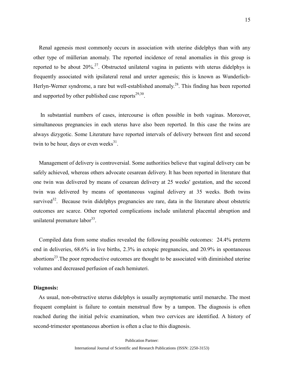Renal agenesis most commonly occurs in association with uterine didelphys than with any other type of müllerian anomaly. The reported incidence of renal anomalies in this group is reported to be about  $20\%$ <sup>27</sup>. Obstructed unilateral vagina in patients with uterus didelphys is frequently associated with ipsilateral renal and ureter agenesis; this is known as Wunderlich-Herlyn-Werner syndrome, a rare but well-established anomaly.<sup>28</sup>. This finding has been reported and supported by other published case reports $2^{9,30}$ .

 In substantial numbers of cases, intercourse is often possible in both vaginas. Moreover, simultaneous pregnancies in each uterus have also been reported. In this case the twins are always dizygotic. Some Literature have reported intervals of delivery between first and second twin to be hour, days or even weeks $^{31}$ .

 Management of delivery is controversial. Some authorities believe that vaginal delivery can be safely achieved, whereas others advocate cesarean delivery. It has been reported in literature that one twin was delivered by means of cesarean delivery at 25 weeks' gestation, and the second twin was delivered by means of spontaneous vaginal delivery at 35 weeks. Both twins survived<sup>32</sup>. Because twin didelphys pregnancies are rare, data in the literature about obstetric outcomes are scarce. Other reported complications include unilateral placental abruption and unilateral premature labor<sup>33</sup>.

 Compiled data from some studies revealed the following possible outcomes: 24.4% preterm end in deliveries, 68.6% in live births, 2.3% in ectopic pregnancies, and 20.9% in spontaneous abortions<sup>23</sup>. The poor reproductive outcomes are thought to be associated with diminished uterine volumes and decreased perfusion of each hemiuteri.

#### **Diagnosis:**

 As usual, non-obstructive uterus didelphys is usually asymptomatic until menarche. The most frequent complaint is failure to contain menstrual flow by a tampon. The diagnosis is often reached during the initial pelvic examination, when two cervices are identified. A history of second-trimester spontaneous abortion is often a clue to this diagnosis.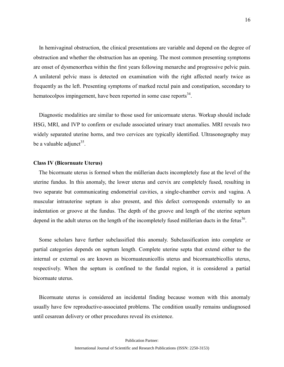In hemivaginal obstruction, the clinical presentations are variable and depend on the degree of obstruction and whether the obstruction has an opening. The most common presenting symptoms are onset of dysmenorrhea within the first years following menarche and progressive pelvic pain. A unilateral pelvic mass is detected on examination with the right affected nearly twice as frequently as the left. Presenting symptoms of marked rectal pain and constipation, secondary to hematocolpos impingement, have been reported in some case reports<sup>34</sup>.

 Diagnostic modalities are similar to those used for unicornuate uterus. Workup should include HSG, MRI, and IVP to confirm or exclude associated urinary tract anomalies. MRI reveals two widely separated uterine horns, and two cervices are typically identified. Ultrasonography may be a valuable adjunct<sup>35</sup>.

# **Class IV (Bicornuate Uterus)**

 The bicornuate uterus is formed when the müllerian ducts incompletely fuse at the level of the uterine fundus. In this anomaly, the lower uterus and cervix are completely fused, resulting in two separate but communicating endometrial cavities, a single-chamber cervix and vagina. A muscular intrauterine septum is also present, and this defect corresponds externally to an indentation or groove at the fundus. The depth of the groove and length of the uterine septum depend in the adult uterus on the length of the incompletely fused müllerian ducts in the fetus<sup>36</sup>.

 Some scholars have further subclassified this anomaly. Subclassification into complete or partial categories depends on septum length. Complete uterine septa that extend either to the internal or external os are known as bicornuateunicollis uterus and bicornuatebicollis uterus, respectively. When the septum is confined to the fundal region, it is considered a partial bicornuate uterus.

 Bicornuate uterus is considered an incidental finding because women with this anomaly usually have few reproductive-associated problems. The condition usually remains undiagnosed until cesarean delivery or other procedures reveal its existence.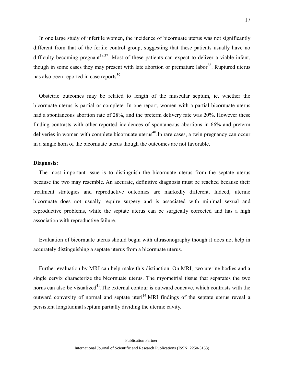In one large study of infertile women, the incidence of bicornuate uterus was not significantly different from that of the fertile control group, suggesting that these patients usually have no difficulty becoming pregnant<sup>19,37</sup>. Most of these patients can expect to deliver a viable infant, though in some cases they may present with late abortion or premature labor<sup>38</sup>. Ruptured uterus has also been reported in case reports<sup>39</sup>.

 Obstetric outcomes may be related to length of the muscular septum, ie, whether the bicornuate uterus is partial or complete. In one report, women with a partial bicornuate uterus had a spontaneous abortion rate of 28%, and the preterm delivery rate was 20%. However these finding contrasts with other reported incidences of spontaneous abortions in 66% and preterm deliveries in women with complete bicornuate uterus<sup>40</sup>. In rare cases, a twin pregnancy can occur in a single horn of the bicornuate uterus though the outcomes are not favorable.

# **Diagnosis:**

 The most important issue is to distinguish the bicornuate uterus from the septate uterus because the two may resemble. An accurate, definitive diagnosis must be reached because their treatment strategies and reproductive outcomes are markedly different. Indeed, uterine bicornuate does not usually require surgery and is associated with minimal sexual and reproductive problems, while the septate uterus can be surgically corrected and has a high association with reproductive failure.

 Evaluation of bicornuate uterus should begin with ultrasonography though it does not help in accurately distinguishing a septate uterus from a bicornuate uterus.

 Further evaluation by MRI can help make this distinction. On MRI, two uterine bodies and a single cervix characterize the bicornuate uterus. The myometrial tissue that separates the two horns can also be visualized<sup>41</sup>. The external contour is outward concave, which contrasts with the outward convexity of normal and septate uteri<sup>14</sup>.MRI findings of the septate uterus reveal a persistent longitudinal septum partially dividing the uterine cavity.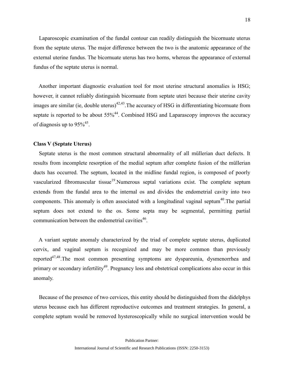Laparoscopic examination of the fundal contour can readily distinguish the bicornuate uterus from the septate uterus. The major difference between the two is the anatomic appearance of the external uterine fundus. The bicornuate uterus has two horns, whereas the appearance of external fundus of the septate uterus is normal.

 Another important diagnostic evaluation tool for most uterine structural anomalies is HSG; however, it cannot reliably distinguish bicornuate from septate uteri because their uterine cavity images are similar (ie, double uterus)<sup> $42,43$ </sup>. The accuracy of HSG in differentiating bicornuate from septate is reported to be about  $55\%^{44}$ . Combined HSG and Laparascopy improves the accuracy of diagnosis up to  $95\%^{45}$ .

#### **Class V (Septate Uterus)**

 Septate uterus is the most common structural abnormality of all müllerian duct defects. It results from incomplete resorption of the medial septum after complete fusion of the müllerian ducts has occurred. The septum, located in the midline fundal region, is composed of poorly vascularized fibromuscular tissue<sup>19</sup>.Numerous septal variations exist. The complete septum extends from the fundal area to the internal os and divides the endometrial cavity into two components. This anomaly is often associated with a longitudinal vaginal septum $40$ . The partial septum does not extend to the os. Some septa may be segmental, permitting partial communication between the endometrial cavities $46$ .

 A variant septate anomaly characterized by the triad of complete septate uterus, duplicated cervix, and vaginal septum is recognized and may be more common than previously reported47,48.The most common presenting symptoms are dyspareunia, dysmenorrhea and primary or secondary infertility<sup>49</sup>. Pregnancy loss and obstetrical complications also occur in this anomaly.

 Because of the presence of two cervices, this entity should be distinguished from the didelphys uterus because each has different reproductive outcomes and treatment strategies. In general, a complete septum would be removed hysteroscopically while no surgical intervention would be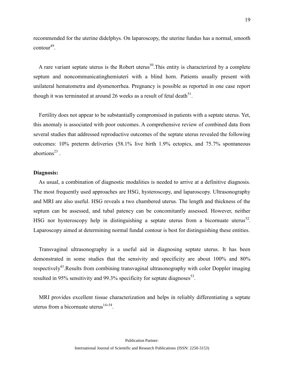recommended for the uterine didelphys. On laparoscopy, the uterine fundus has a normal, smooth  $\text{contour}^{49}$ .

A rare variant septate uterus is the Robert uterus<sup>50</sup>. This entity is characterized by a complete septum and noncommunicatinghemiuteri with a blind horn. Patients usually present with unilateral hematometra and dysmenorrhea. Pregnancy is possible as reported in one case report though it was terminated at around 26 weeks as a result of fetal death $^{51}$ .

 Fertility does not appear to be substantially compromised in patients with a septate uterus. Yet, this anomaly is associated with poor outcomes. A comprehensive review of combined data from several studies that addressed reproductive outcomes of the septate uterus revealed the following outcomes: 10% preterm deliveries (58.1% live birth 1.9% ectopics, and 75.7% spontaneous abortions $^{23}$ .

#### **Diagnosis:**

 As usual, a combination of diagnostic modalities is needed to arrive at a definitive diagnosis. The most frequently used approaches are HSG, hysteroscopy, and laparoscopy. Ultrasonography and MRI are also useful. HSG reveals a two chambered uterus. The length and thickness of the septum can be assessed, and tubal patency can be concomitantly assessed. However, neither HSG nor hysteroscopy help in distinguishing a septate uterus from a bicornuate uterus<sup>52</sup>. Laparoscopy aimed at determining normal fundal contour is best for distinguishing these entities.

 Transvaginal ultrasonography is a useful aid in diagnosing septate uterus. It has been demonstrated in some studies that the sensivity and specificity are about 100% and 80% respectively<sup>43</sup>. Results from combining transvaginal ultrasonography with color Doppler imaging resulted in 95% sensitivity and 99.3% specificity for septate diagnoses<sup>53</sup>.

 MRI provides excellent tissue characterization and helps in reliably differentiating a septate uterus from a bicornuate uterus  $14,54$ .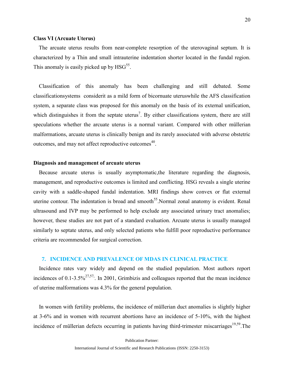### **Class VI (Arcuate Uterus)**

 The arcuate uterus results from near-complete resorption of the uterovaginal septum. It is characterized by a Thin and small intrauterine indentation shorter located in the fundal region. This anomaly is easily picked up by  $HSG^{55}$ .

 Classification of this anomaly has been challenging and still debated. Some classificationsystems considerit as a mild form of bicornuate uteruswhile the AFS classification system, a separate class was proposed for this anomaly on the basis of its external unification, which distinguishes it from the septate uterus<sup>7</sup>. By either classifications system, there are still speculations whether the arcuate uterus is a normal variant. Compared with other müllerian malformations, arcuate uterus is clinically benign and its rarely associated with adverse obstetric outcomes, and may not affect reproductive outcomes<sup>40</sup>.

# **Diagnosis and management of arcuate uterus**

 Because arcuate uterus is usually asymptomatic,the literature regarding the diagnosis, management, and reproductive outcomes is limited and conflicting. HSG reveals a single uterine cavity with a saddle-shaped fundal indentation. MRI findings show convex or flat external uterine contour. The indentation is broad and smooth<sup>55</sup>. Normal zonal anatomy is evident. Renal ultrasound and IVP may be performed to help exclude any associated urinary tract anomalies; however, these studies are not part of a standard evaluation. Arcuate uterus is usually managed similarly to septate uterus, and only selected patients who fulfill poor reproductive performance criteria are recommended for surgical correction.

#### <span id="page-24-0"></span>**7. INCIDENCE AND PREVALENCE OF MDAS IN CLINICAL PRACTICE**

 Incidence rates vary widely and depend on the studied population. Most authors report incidences of 0.1-3.5% $^{27,57}$ . In 2001, Grimbizis and colleagues reported that the mean incidence of uterine malformations was 4.3% for the general population.

 In women with fertility problems, the incidence of müllerian duct anomalies is slightly higher at 3-6% and in women with recurrent abortions have an incidence of 5-10%, with the highest incidence of müllerian defects occurring in patients having third-trimester miscarriages<sup>19,59</sup>. The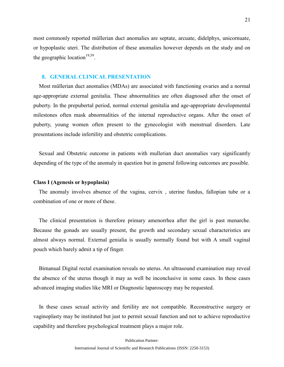most commonly reported müllerian duct anomalies are septate, arcuate, didelphys, unicornuate, or hypoplastic uteri. The distribution of these anomalies however depends on the study and on the geographic location<sup>19,59</sup>.

# **8. GENERAL CLINICAL PRESENTATION**

 Most müllerian duct anomalies (MDAs) are associated with functioning ovaries and a normal age-appropriate external genitalia. These abnormalities are often diagnosed after the onset of puberty. In the prepubertal period, normal external genitalia and age-appropriate developmental milestones often mask abnormalities of the internal reproductive organs. After the onset of puberty, young women often present to the gynecologist with menstrual disorders. Late presentations include infertility and obstetric complications.

 Sexual and Obstetric outcome in patients with mullerian duct anomalies vary significantly depending of the type of the anomaly in question but in general following outcomes are possible.

#### **Class I (Agenesis or hypoplasia)**

 The anomaly involves absence of the vagina, cervix , uterine fundus, fallopian tube or a combination of one or more of these.

 The clinical presentation is therefore primary amenorrhea after the girl is past menarche. Because the gonads are usually present, the growth and secondary sexual characteristics are almost always normal. External genialia is usually normally found but with A small vaginal pouch which barely admit a tip of finger.

 Bimanual Digital rectal examination reveals no uterus. An ultrasound examination may reveal the absence of the uterus though it may as well be inconclusive in some cases. In these cases advanced imaging studies like MRI or Diagnostic laparoscopy may be requested.

 In these cases sexual activity and fertility are not compatible. Reconstructive surgery or vaginoplasty may be instituted but just to permit sexual function and not to achieve reproductive capability and therefore psychological treatment plays a major role.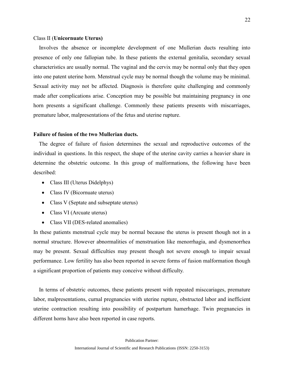### Class II (**Unicornuate Uterus)**

 Involves the absence or incomplete development of one Mullerian ducts resulting into presence of only one fallopian tube. In these patients the external genitalia, secondary sexual characteristics are usually normal. The vaginal and the cervix may be normal only that they open into one patent uterine horn. Menstrual cycle may be normal though the volume may be minimal. Sexual activity may not be affected. Diagnosis is therefore quite challenging and commonly made after complications arise. Conception may be possible but maintaining pregnancy in one horn presents a significant challenge. Commonly these patients presents with miscarriages, premature labor, malpresentations of the fetus and uterine rupture.

#### **Failure of fusion of the two Mullerian ducts.**

 The degree of failure of fusion determines the sexual and reproductive outcomes of the individual in questions. In this respect, the shape of the uterine cavity carries a heavier share in determine the obstetric outcome. In this group of malformations, the following have been described:

- Class III (Uterus Didelphys)
- Class IV (Bicornuate uterus)
- Class V (Septate and subseptate uterus)
- Class VI (Arcuate uterus)
- Class VII (DES-related anomalies)

In these patients menstrual cycle may be normal because the uterus is present though not in a normal structure. However abnormalities of menstruation like menorrhagia, and dysmenorrhea may be present. Sexual difficulties may present though not severe enough to impair sexual performance. Low fertility has also been reported in severe forms of fusion malformation though a significant proportion of patients may conceive without difficulty.

 In terms of obstetric outcomes, these patients present with repeated misccariages, premature labor, malpresentations, curnal pregnancies with uterine rupture, obstructed labor and inefficient uterine contraction resulting into possibility of postpartum hamerhage. Twin pregnancies in different horns have also been reported in case reports.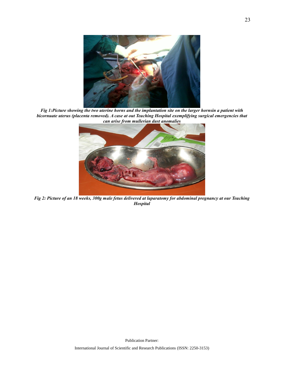

*Fig 1:Picture showing the two uterine horns and the implantation site on the larger hornsin a patient with bicornuate uterus (placenta removed). A case at out Teaching Hospital exemplifying surgical emergencies that can arise from mullerian dust anomalies*



*Fig 2: Picture of an 18 weeks, 300g male fetus delivered at laparatomy for abdominal pregnancy at our Teaching Hospital*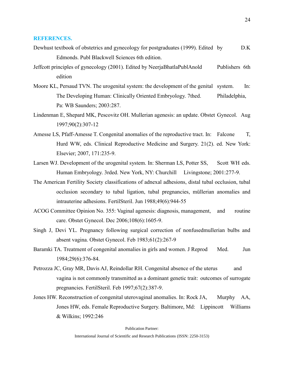# <span id="page-28-0"></span>**REFERENCES.**

- Dewhust textbook of obstetrics and gynecology for postgraduates (1999). Edited by D.K Edmonds. Publ Blackwell Sciences 6th edition.
- Jeffcott principles of gynecology (2001). Edited by NeerjaBhatlaPublAnold Publishers 6th edition
- Moore KL, Persaud TVN. The urogenital system: the development of the genital system. In: The Developing Human: Clinically Oriented Embryology. 7thed. Philadelphia, Pa: WB Saunders; 2003:287.
- Lindenman E, Shepard MK, Pescovitz OH. Mullerian agenesis: an update. Obstet Gynecol. Aug 1997;90(2):307-12
- Amesse LS, Pfaff-Amesse T. Congenital anomalies of the reproductive tract. In: Falcone T, Hurd WW, eds. Clinical Reproductive Medicine and Surgery. 21(2). ed. New York: Elsevier; 2007, 171:235-9.
- Larsen WJ. Development of the urogenital system. In: Sherman LS, Potter SS, Scott WH eds. Human Embryology. 3rded. New York, NY: Churchill Livingstone; 2001:277-9.
- The American Fertility Society classifications of adnexal adhesions, distal tubal occlusion, tubal occlusion secondary to tubal ligation, tubal pregnancies, müllerian anomalies and intrauterine adhesions. FertilSteril. Jun 1988;49(6):944-55
- ACOG Committee Opinion No. 355: Vaginal agenesis: diagnosis, management, and routine care. Obstet Gynecol. Dec 2006;108(6):1605-9.
- Singh J, Devi YL. Pregnancy following surgical correction of nonfusedmullerian bulbs and absent vagina. Obstet Gynecol. Feb 1983;61(2):267-9
- Baramki TA. Treatment of congenital anomalies in girls and women. J Reprod Med. Jun 1984;29(6):376-84.
- Petrozza JC, Gray MR, Davis AJ, Reindollar RH. Congenital absence of the uterus and vagina is not commonly transmitted as a dominant genetic trait: outcomes of surrogate pregnancies. FertilSteril. Feb 1997;67(2):387-9.
- Jones HW. Reconstruction of congenital uterovaginal anomalies. In: Rock JA, Murphy AA, Jones HW, eds. Female Reproductive Surgery. Baltimore, Md: Lippincott Williams & Wilkins; 1992:246

Publication Partner: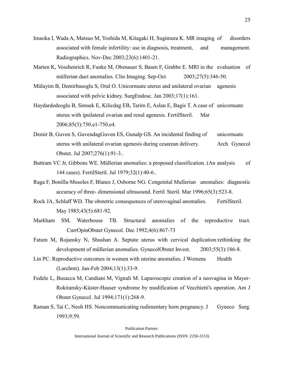- Imaoka I, Wada A, Matsuo M, Yoshida M, Kitagaki H, Sugimura K. MR imaging of disorders associated with female infertility: use in diagnosis, treatment, and management. Radiographics. Nov-Dec 2003;23(6):1401-21.
- Marten K, Vosshenrich R, Funke M, Obenauer S, Baum F, Grabbe E. MRI in the evaluation of müllerian duct anomalies. Clin Imaging. Sep-Oct 2003;27(5):346-50.
- Mülayim B, Demirbasoglu S, Oral O. Unicornuate uterus and unilateral ovarian agenesis associated with pelvic kidney. SurgEndosc. Jan 2003;17(1):161.
- Haydardedeoglu B, Simsek E, Kilicdag EB, Tarim E, Aslan E, Bagis T. A case of unicornuate uterus with ipsilateral ovarian and renal agenesis. FertilSteril. Mar 2006;85(3):750.e1-750.e4.
- Demir B, Guven S, GuvendagGuven ES, Gunalp GS. An incidental finding of unicornuate uterus with unilateral ovarian agenesis during cesarean delivery. Arch Gynecol Obstet. Jul 2007;276(1):91-3..
- Buttram VC Jr, Gibbons WE. Müllerian anomalies: a proposed classification. (An analysis of 144 cases). FertilSteril. Jul 1979;32(1):40-6..
- Raga F, Bonilla-Musoles F, Blanes J, Osborne NG. Congenital Mullerian anomalies: diagnostic accuracy of three- dimensional ultrasound. Fertil Steril. Mar 1996;65(3):523-8.
- Rock JA, Schlaff WD. The obstetric consequences of uterovaginal anomalies. FertilSteril. May 1985;43(5):681-92.
- Markham SM, Waterhouse TB. Structural anomalies of the reproductive tract. CurrOpinObstet Gynecol. Dec 1992;4(6):867-73
- Fatum M, Rojansky N, Shushan A. Septate uterus with cervical duplication:rethinking the development of müllerian anomalies. GynecolObstet Invest. 2003;55(3):186-8.
- Lin PC. Reproductive outcomes in women with uterine anomalies. J Womens Health (Larchmt). Jan-Feb 2004;13(1):33-9.
- Fedele L, Busacca M, Candiani M, Vignali M. Laparoscopic creation of a neovagina in Mayer-Rokitansky-Küster-Hauser syndrome by modification of Vecchietti's operation. Am J Obstet Gynecol. Jul 1994;171(1):268-9.
- Raman S, Tai C, Neoh HS. Noncommunicating rudimentary horn pregnancy. J Gyneco Surg. 1993;9:59.

Publication Partner: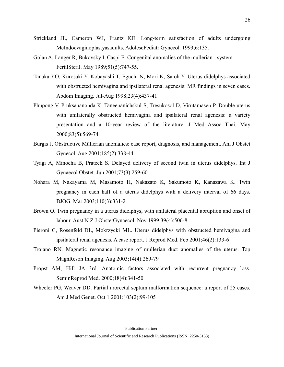- Strickland JL, Cameron WJ, Frantz KE. Long-term satisfaction of adults undergoing McIndoevaginoplastyasadults. AdolescPediatr Gynecol. 1993;6:135.
- Golan A, Langer R, Bukovsky I, Caspi E. Congenital anomalies of the mullerian system. FertilSteril. May 1989;51(5):747-55.
- Tanaka YO, Kurosaki Y, Kobayashi T, Eguchi N, Mori K, Satoh Y. Uterus didelphys associated with obstructed hemivagina and ipsilateral renal agenesis: MR findings in seven cases. Abdom Imaging. Jul-Aug 1998;23(4):437-41
- Phupong V, Pruksananonda K, Taneepanichskul S, Tresukosol D, Virutamasen P. Double uterus with unilaterally obstructed hemivagina and ipsilateral renal agenesis: a variety presentation and a 10-year review of the literature. J Med Assoc Thai. May 2000;83(5):569-74.
- Burgis J. Obstructive Müllerian anomalies: case report, diagnosis, and management. Am J Obstet Gynecol. Aug 2001;185(2):338-44
- Tyagi A, Minocha B, Prateek S. Delayed delivery of second twin in uterus didelphys. Int J Gynaecol Obstet. Jun 2001;73(3):259-60
- Nohara M, Nakayama M, Masamoto H, Nakazato K, Sakumoto K, Kanazawa K. Twin pregnancy in each half of a uterus didelphys with a delivery interval of 66 days. BJOG. Mar 2003;110(3):331-2
- Brown O. Twin pregnancy in a uterus didelphys, with unilateral placental abruption and onset of labour. Aust N Z J ObstetGynaecol. Nov 1999;39(4):506-8
- Pieroni C, Rosenfeld DL, Mokrzycki ML. Uterus didelphys with obstructed hemivagina and ipsilateral renal agenesis. A case report. J Reprod Med. Feb 2001;46(2):133-6
- Troiano RN. Magnetic resonance imaging of mullerian duct anomalies of the uterus. Top MagnReson Imaging. Aug 2003;14(4):269-79
- Propst AM, Hill JA 3rd. Anatomic factors associated with recurrent pregnancy loss. SeminReprod Med. 2000;18(4):341-50
- Wheeler PG, Weaver DD. Partial urorectal septum malformation sequence: a report of 25 cases. Am J Med Genet. Oct 1 2001;103(2):99-105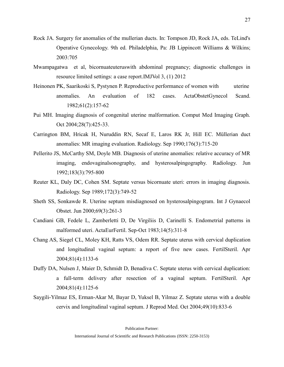- Rock JA. Surgery for anomalies of the mullerian ducts. In: Tompson JD, Rock JA, eds. TeLind's Operative Gynecology. 9th ed. Philadelphia, Pa: JB Lippincott Williams & Wilkins; 2003:705
- Mwampagatwa et al, bicornuateuteruswith abdominal pregnancy; diagnostic challenges in resource limited settings: a case report.IMJVol 3, (1) 2012
- Heinonen PK, Saarikoski S, Pystynen P. Reproductive performance of women with uterine anomalies. An evaluation of 182 cases. ActaObstetGynecol Scand. 1982;61(2):157-62
- Pui MH. Imaging diagnosis of congenital uterine malformation. Comput Med Imaging Graph. Oct 2004;28(7):425-33.
- Carrington BM, Hricak H, Nuruddin RN, Secaf E, Laros RK Jr, Hill EC. Müllerian duct anomalies: MR imaging evaluation. Radiology. Sep 1990;176(3):715-20
- Pellerito JS, McCarthy SM, Doyle MB. Diagnosis of uterine anomalies: relative accuracy of MR imaging, endovaginalsonography, and hysterosalpingography. Radiology. Jun 1992;183(3):795-800
- Reuter KL, Daly DC, Cohen SM. Septate versus bicornuate uteri: errors in imaging diagnosis. Radiology. Sep 1989;172(3):749-52
- Sheth SS, Sonkawde R. Uterine septum misdiagnosed on hysterosalpingogram. Int J Gynaecol Obstet. Jun 2000;69(3):261-3
- Candiani GB, Fedele L, Zamberletti D, De Virgiliis D, Carinelli S. Endometrial patterns in malformed uteri. ActaEurFertil. Sep-Oct 1983;14(5):311-8
- Chang AS, Siegel CL, Moley KH, Ratts VS, Odem RR. Septate uterus with cervical duplication and longitudinal vaginal septum: a report of five new cases. FertilSteril. Apr 2004;81(4):1133-6
- Duffy DA, Nulsen J, Maier D, Schmidt D, Benadiva C. Septate uterus with cervical duplication: a full-term delivery after resection of a vaginal septum. FertilSteril. Apr 2004;81(4):1125-6
- Saygili-Yilmaz ES, Erman-Akar M, Bayar D, Yuksel B, Yilmaz Z. Septate uterus with a double cervix and longitudinal vaginal septum. J Reprod Med. Oct 2004;49(10):833-6